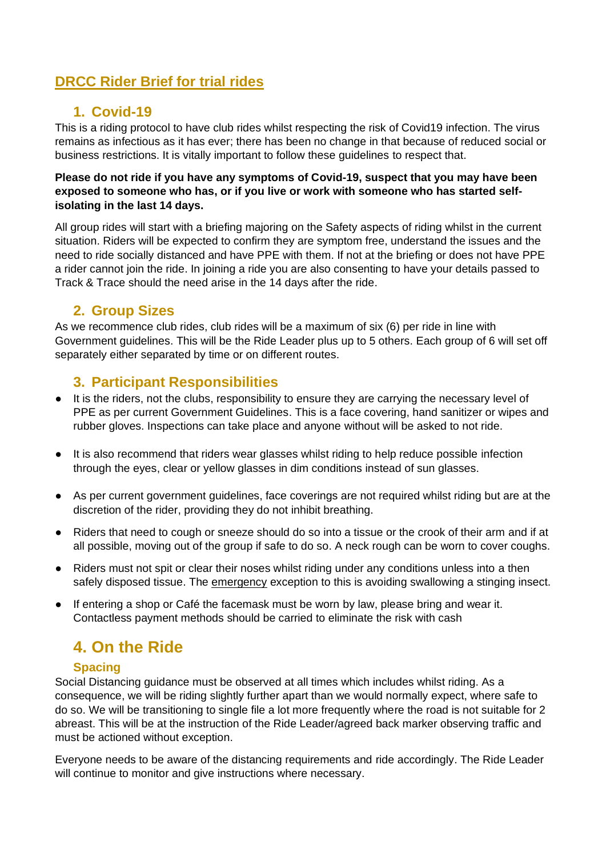# **DRCC Rider Brief for trial rides**

## **1. Covid-19**

This is a riding protocol to have club rides whilst respecting the risk of Covid19 infection. The virus remains as infectious as it has ever; there has been no change in that because of reduced social or business restrictions. It is vitally important to follow these guidelines to respect that.

### **Please do not ride if you have any symptoms of Covid-19, suspect that you may have been exposed to someone who has, or if you live or work with someone who has started selfisolating in the last 14 days.**

All group rides will start with a briefing majoring on the Safety aspects of riding whilst in the current situation. Riders will be expected to confirm they are symptom free, understand the issues and the need to ride socially distanced and have PPE with them. If not at the briefing or does not have PPE a rider cannot join the ride. In joining a ride you are also consenting to have your details passed to Track & Trace should the need arise in the 14 days after the ride.

## **2. Group Sizes**

As we recommence club rides, club rides will be a maximum of six (6) per ride in line with Government guidelines. This will be the Ride Leader plus up to 5 others. Each group of 6 will set off separately either separated by time or on different routes.

## **3. Participant Responsibilities**

- It is the riders, not the clubs, responsibility to ensure they are carrying the necessary level of PPE as per current Government Guidelines. This is a face covering, hand sanitizer or wipes and rubber gloves. Inspections can take place and anyone without will be asked to not ride.
- It is also recommend that riders wear glasses whilst riding to help reduce possible infection through the eyes, clear or yellow glasses in dim conditions instead of sun glasses.
- As per current government guidelines, face coverings are not required whilst riding but are at the discretion of the rider, providing they do not inhibit breathing.
- Riders that need to cough or sneeze should do so into a tissue or the crook of their arm and if at all possible, moving out of the group if safe to do so. A neck rough can be worn to cover coughs.
- Riders must not spit or clear their noses whilst riding under any conditions unless into a then safely disposed tissue. The emergency exception to this is avoiding swallowing a stinging insect.
- If entering a shop or Café the facemask must be worn by law, please bring and wear it. Contactless payment methods should be carried to eliminate the risk with cash

# **4. On the Ride**

## **Spacing**

Social Distancing guidance must be observed at all times which includes whilst riding. As a consequence, we will be riding slightly further apart than we would normally expect, where safe to do so. We will be transitioning to single file a lot more frequently where the road is not suitable for 2 abreast. This will be at the instruction of the Ride Leader/agreed back marker observing traffic and must be actioned without exception.

Everyone needs to be aware of the distancing requirements and ride accordingly. The Ride Leader will continue to monitor and give instructions where necessary.